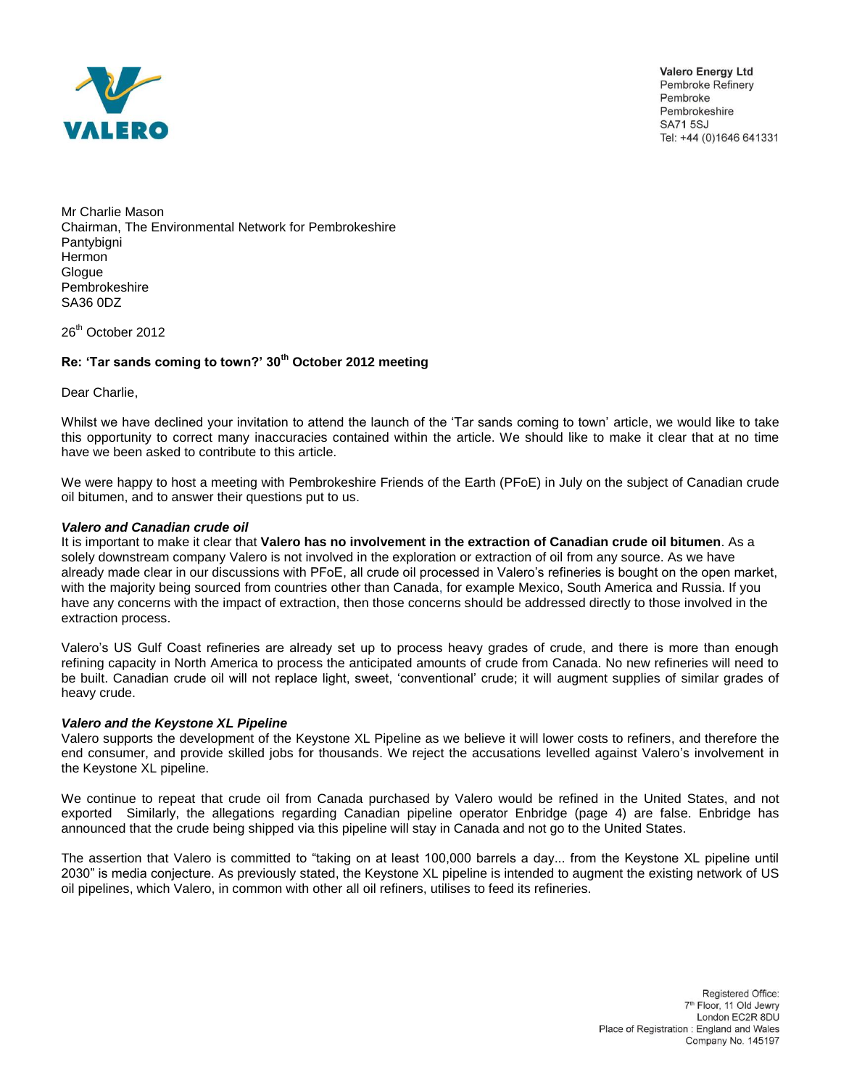

**Valero Energy Ltd** Pembroke Refinery Pembroke Pembrokeshire **SA715SJ** Tel: +44 (0)1646 641331

Mr Charlie Mason Chairman, The Environmental Network for Pembrokeshire Pantybigni **Hermon Glogue** Pembrokeshire SA36 0DZ

26<sup>th</sup> October 2012

## **Re: 'Tar sands coming to town?' 30th October 2012 meeting**

Dear Charlie,

Whilst we have declined your invitation to attend the launch of the 'Tar sands coming to town' article, we would like to take this opportunity to correct many inaccuracies contained within the article. We should like to make it clear that at no time have we been asked to contribute to this article.

We were happy to host a meeting with Pembrokeshire Friends of the Earth (PFoE) in July on the subject of Canadian crude oil bitumen, and to answer their questions put to us.

## *Valero and Canadian crude oil*

It is important to make it clear that **Valero has no involvement in the extraction of Canadian crude oil bitumen**. As a solely downstream company Valero is not involved in the exploration or extraction of oil from any source. As we have already made clear in our discussions with PFoE, all crude oil processed in Valero's refineries is bought on the open market, with the majority being sourced from countries other than Canada, for example Mexico, South America and Russia. If you have any concerns with the impact of extraction, then those concerns should be addressed directly to those involved in the extraction process.

Valero's US Gulf Coast refineries are already set up to process heavy grades of crude, and there is more than enough refining capacity in North America to process the anticipated amounts of crude from Canada. No new refineries will need to be built. Canadian crude oil will not replace light, sweet, 'conventional' crude; it will augment supplies of similar grades of heavy crude.

## *Valero and the Keystone XL Pipeline*

Valero supports the development of the Keystone XL Pipeline as we believe it will lower costs to refiners, and therefore the end consumer, and provide skilled jobs for thousands. We reject the accusations levelled against Valero's involvement in the Keystone XL pipeline.

We continue to repeat that crude oil from Canada purchased by Valero would be refined in the United States, and not exported Similarly, the allegations regarding Canadian pipeline operator Enbridge (page 4) are false. Enbridge has announced that the crude being shipped via this pipeline will stay in Canada and not go to the United States.

The assertion that Valero is committed to "taking on at least 100,000 barrels a day... from the Keystone XL pipeline until 2030" is media conjecture. As previously stated, the Keystone XL pipeline is intended to augment the existing network of US oil pipelines, which Valero, in common with other all oil refiners, utilises to feed its refineries.